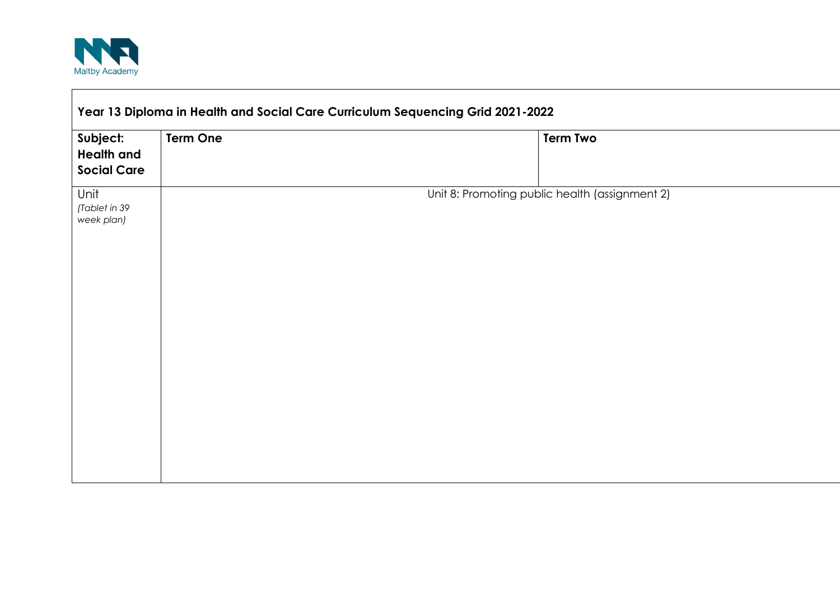

|                                                     | Year 13 Diploma in Health and Social Care Curriculum Sequencing Grid 2021-2022 |                                                |
|-----------------------------------------------------|--------------------------------------------------------------------------------|------------------------------------------------|
| Subject:<br><b>Health and</b><br><b>Social Care</b> | <b>Term One</b>                                                                | <b>Term Two</b>                                |
| Unit<br>(Tablet in 39<br>week plan)                 |                                                                                | Unit 8: Promoting public health (assignment 2) |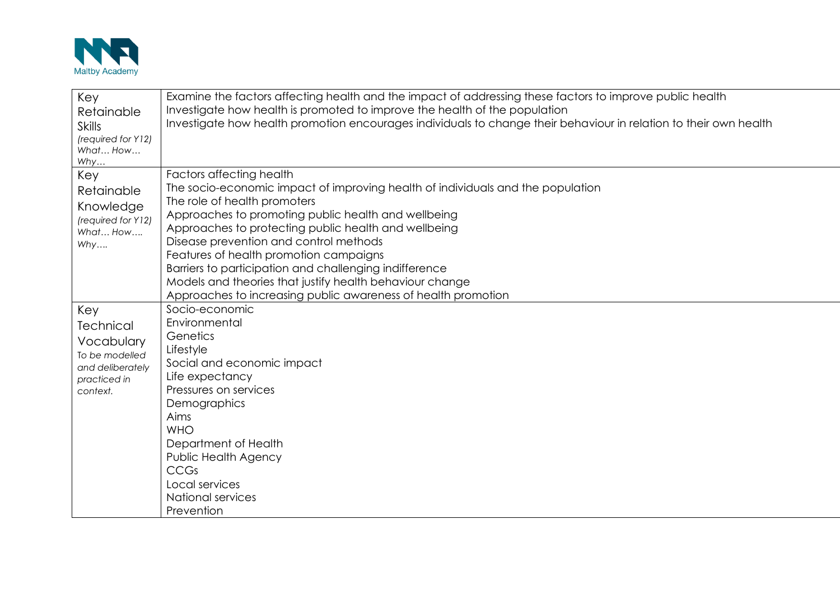

| Key<br>Retainable<br><b>Skills</b><br>(required for Y12)<br>What How                             | Examine the factors affecting health and the impact of addressing these factors to improve public health<br>Investigate how health is promoted to improve the health of the population<br>Investigate how health promotion encourages individuals to change their behaviour in relation to their own health                                                                                                                                                                                                                           |
|--------------------------------------------------------------------------------------------------|---------------------------------------------------------------------------------------------------------------------------------------------------------------------------------------------------------------------------------------------------------------------------------------------------------------------------------------------------------------------------------------------------------------------------------------------------------------------------------------------------------------------------------------|
| Why<br>Key<br>Retainable<br>Knowledge<br>(required for Y12)<br>What How<br>Why                   | Factors affecting health<br>The socio-economic impact of improving health of individuals and the population<br>The role of health promoters<br>Approaches to promoting public health and wellbeing<br>Approaches to protecting public health and wellbeing<br>Disease prevention and control methods<br>Features of health promotion campaigns<br>Barriers to participation and challenging indifference<br>Models and theories that justify health behaviour change<br>Approaches to increasing public awareness of health promotion |
| Key<br>Technical<br>Vocabulary<br>To be modelled<br>and deliberately<br>practiced in<br>context. | Socio-economic<br>Environmental<br>Genetics<br>Lifestyle<br>Social and economic impact<br>Life expectancy<br>Pressures on services<br>Demographics<br>Aims<br><b>WHO</b><br>Department of Health<br>Public Health Agency<br><b>CCGs</b><br>Local services<br>National services<br>Prevention                                                                                                                                                                                                                                          |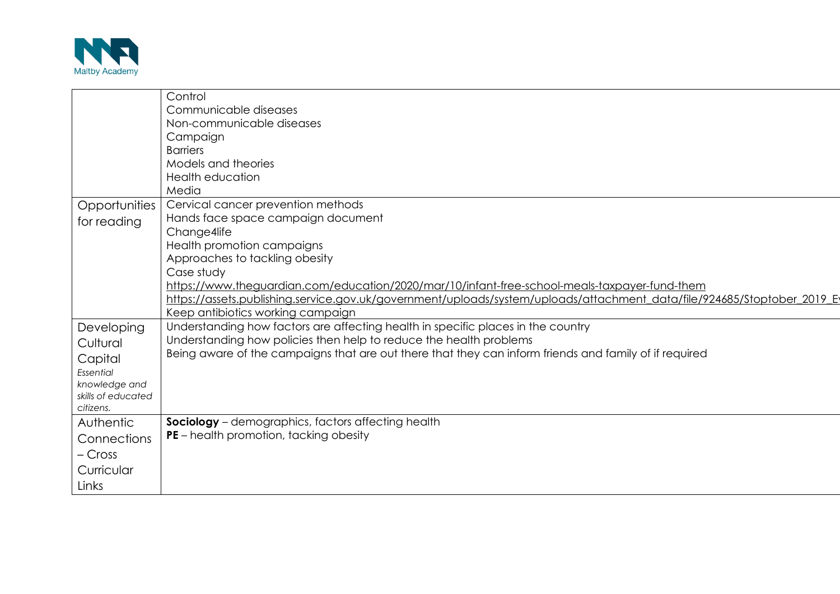

|                    | Control                                                                                                                  |
|--------------------|--------------------------------------------------------------------------------------------------------------------------|
|                    | Communicable diseases                                                                                                    |
|                    | Non-communicable diseases                                                                                                |
|                    | Campaign                                                                                                                 |
|                    | <b>Barriers</b>                                                                                                          |
|                    | Models and theories                                                                                                      |
|                    | Health education                                                                                                         |
|                    | Media                                                                                                                    |
| Opportunities      | Cervical cancer prevention methods                                                                                       |
| for reading        | Hands face space campaign document                                                                                       |
|                    | Change4life                                                                                                              |
|                    | Health promotion campaigns                                                                                               |
|                    | Approaches to tackling obesity                                                                                           |
|                    | Case study                                                                                                               |
|                    | https://www.theguardian.com/education/2020/mar/10/infant-free-school-meals-taxpayer-fund-them                            |
|                    | https://assets.publishing.service.gov.uk/government/uploads/system/uploads/attachment_data/file/924685/Stoptober_2019_Ey |
|                    | Keep antibiotics working campaign                                                                                        |
| Developing         | Understanding how factors are affecting health in specific places in the country                                         |
| Cultural           | Understanding how policies then help to reduce the health problems                                                       |
| Capital            | Being aware of the campaigns that are out there that they can inform friends and family of if required                   |
| Essential          |                                                                                                                          |
| knowledge and      |                                                                                                                          |
| skills of educated |                                                                                                                          |
| citizens.          |                                                                                                                          |
| Authentic          | Sociology - demographics, factors affecting health                                                                       |
| Connections        | <b>PE</b> – health promotion, tacking obesity                                                                            |
| – Cross            |                                                                                                                          |
| Curricular         |                                                                                                                          |
| Links              |                                                                                                                          |
|                    |                                                                                                                          |